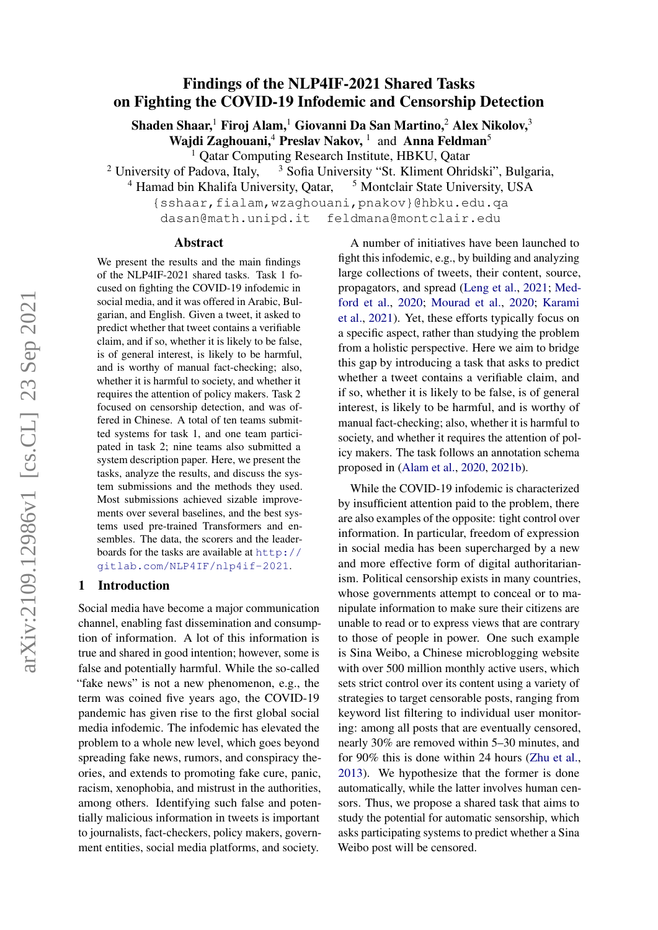# Findings of the NLP4IF-2021 Shared Tasks on Fighting the COVID-19 Infodemic and Censorship Detection

Shaden Shaar,<sup>1</sup> Firoj Alam,<sup>1</sup> Giovanni Da San Martino,<sup>2</sup> Alex Nikolov,<sup>3</sup>

Wajdi Zaghouani,<sup>4</sup> Preslav Nakov,<sup>1</sup> and Anna Feldman<sup>5</sup>

<sup>1</sup> Qatar Computing Research Institute, HBKU, Qatar

<sup>2</sup> University of Padova, Italy,  $\frac{3}{3}$  Sofia University "St. Kliment Ohridski", Bulgaria,

<sup>4</sup> Hamad bin Khalifa University, Qatar, <sup>5</sup> Montclair State University, USA

{sshaar,fialam,wzaghouani,pnakov}@hbku.edu.qa dasan@math.unipd.it feldmana@montclair.edu

#### Abstract

We present the results and the main findings of the NLP4IF-2021 shared tasks. Task 1 focused on fighting the COVID-19 infodemic in social media, and it was offered in Arabic, Bulgarian, and English. Given a tweet, it asked to predict whether that tweet contains a verifiable claim, and if so, whether it is likely to be false, is of general interest, is likely to be harmful, and is worthy of manual fact-checking; also, whether it is harmful to society, and whether it requires the attention of policy makers. Task 2 focused on censorship detection, and was offered in Chinese. A total of ten teams submitted systems for task 1, and one team participated in task 2; nine teams also submitted a system description paper. Here, we present the tasks, analyze the results, and discuss the system submissions and the methods they used. Most submissions achieved sizable improvements over several baselines, and the best systems used pre-trained Transformers and ensembles. The data, the scorers and the leaderboards for the tasks are available at [http://](http://gitlab.com/NLP4IF/nlp4if-2021) [gitlab.com/NLP4IF/nlp4if-2021](http://gitlab.com/NLP4IF/nlp4if-2021).

# 1 Introduction

Social media have become a major communication channel, enabling fast dissemination and consumption of information. A lot of this information is true and shared in good intention; however, some is false and potentially harmful. While the so-called "fake news" is not a new phenomenon, e.g., the term was coined five years ago, the COVID-19 pandemic has given rise to the first global social media infodemic. The infodemic has elevated the problem to a whole new level, which goes beyond spreading fake news, rumors, and conspiracy theories, and extends to promoting fake cure, panic, racism, xenophobia, and mistrust in the authorities, among others. Identifying such false and potentially malicious information in tweets is important to journalists, fact-checkers, policy makers, government entities, social media platforms, and society.

A number of initiatives have been launched to fight this infodemic, e.g., by building and analyzing large collections of tweets, their content, source, propagators, and spread [\(Leng et al.,](#page-9-0) [2021;](#page-9-0) [Med](#page-9-1)[ford et al.,](#page-9-1) [2020;](#page-9-1) [Mourad et al.,](#page-9-2) [2020;](#page-9-2) [Karami](#page-8-0) [et al.,](#page-8-0) [2021\)](#page-8-0). Yet, these efforts typically focus on a specific aspect, rather than studying the problem from a holistic perspective. Here we aim to bridge this gap by introducing a task that asks to predict whether a tweet contains a verifiable claim, and if so, whether it is likely to be false, is of general interest, is likely to be harmful, and is worthy of manual fact-checking; also, whether it is harmful to society, and whether it requires the attention of policy makers. The task follows an annotation schema proposed in [\(Alam et al.,](#page-8-1) [2020,](#page-8-1) [2021b\)](#page-8-2).

While the COVID-19 infodemic is characterized by insufficient attention paid to the problem, there are also examples of the opposite: tight control over information. In particular, freedom of expression in social media has been supercharged by a new and more effective form of digital authoritarianism. Political censorship exists in many countries, whose governments attempt to conceal or to manipulate information to make sure their citizens are unable to read or to express views that are contrary to those of people in power. One such example is Sina Weibo, a Chinese microblogging website with over 500 million monthly active users, which sets strict control over its content using a variety of strategies to target censorable posts, ranging from keyword list filtering to individual user monitoring: among all posts that are eventually censored, nearly 30% are removed within 5–30 minutes, and for 90% this is done within 24 hours [\(Zhu et al.,](#page-10-0) [2013\)](#page-10-0). We hypothesize that the former is done automatically, while the latter involves human censors. Thus, we propose a shared task that aims to study the potential for automatic sensorship, which asks participating systems to predict whether a Sina Weibo post will be censored.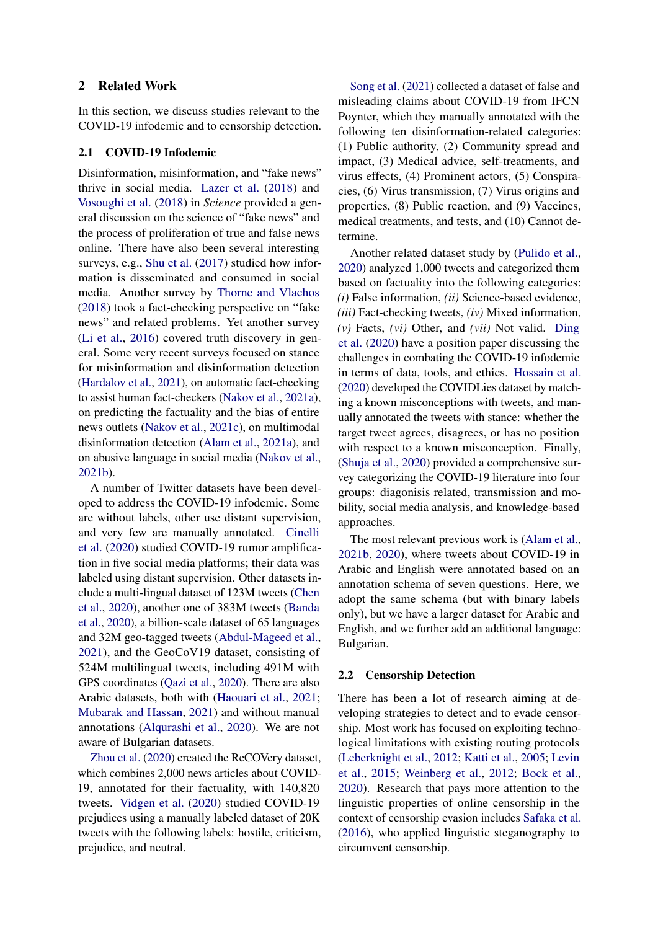### 2 Related Work

In this section, we discuss studies relevant to the COVID-19 infodemic and to censorship detection.

#### 2.1 COVID-19 Infodemic

Disinformation, misinformation, and "fake news" thrive in social media. [Lazer et al.](#page-9-3) [\(2018\)](#page-9-3) and [Vosoughi et al.](#page-10-1) [\(2018\)](#page-10-1) in *Science* provided a general discussion on the science of "fake news" and the process of proliferation of true and false news online. There have also been several interesting surveys, e.g., [Shu et al.](#page-10-2) [\(2017\)](#page-10-2) studied how information is disseminated and consumed in social media. Another survey by [Thorne and Vlachos](#page-10-3) [\(2018\)](#page-10-3) took a fact-checking perspective on "fake news" and related problems. Yet another survey [\(Li et al.,](#page-9-4) [2016\)](#page-9-4) covered truth discovery in general. Some very recent surveys focused on stance for misinformation and disinformation detection [\(Hardalov et al.,](#page-8-3) [2021\)](#page-8-3), on automatic fact-checking to assist human fact-checkers [\(Nakov et al.,](#page-9-5) [2021a\)](#page-9-5), on predicting the factuality and the bias of entire news outlets [\(Nakov et al.,](#page-9-6) [2021c\)](#page-9-6), on multimodal disinformation detection [\(Alam et al.,](#page-8-4) [2021a\)](#page-8-4), and on abusive language in social media [\(Nakov et al.,](#page-9-7) [2021b\)](#page-9-7).

A number of Twitter datasets have been developed to address the COVID-19 infodemic. Some are without labels, other use distant supervision, and very few are manually annotated. [Cinelli](#page-8-5) [et al.](#page-8-5) [\(2020\)](#page-8-5) studied COVID-19 rumor amplification in five social media platforms; their data was labeled using distant supervision. Other datasets include a multi-lingual dataset of 123M tweets [\(Chen](#page-8-6) [et al.,](#page-8-6) [2020\)](#page-8-6), another one of 383M tweets [\(Banda](#page-8-7) [et al.,](#page-8-7) [2020\)](#page-8-7), a billion-scale dataset of 65 languages and 32M geo-tagged tweets [\(Abdul-Mageed et al.,](#page-8-8) [2021\)](#page-8-8), and the GeoCoV19 dataset, consisting of 524M multilingual tweets, including 491M with GPS coordinates [\(Qazi et al.,](#page-10-4) [2020\)](#page-10-4). There are also Arabic datasets, both with [\(Haouari et al.,](#page-8-9) [2021;](#page-8-9) [Mubarak and Hassan,](#page-9-8) [2021\)](#page-9-8) and without manual annotations [\(Alqurashi et al.,](#page-8-10) [2020\)](#page-8-10). We are not aware of Bulgarian datasets.

[Zhou et al.](#page-10-5) [\(2020\)](#page-10-5) created the ReCOVery dataset, which combines 2,000 news articles about COVID-19, annotated for their factuality, with 140,820 tweets. [Vidgen et al.](#page-10-6) [\(2020\)](#page-10-6) studied COVID-19 prejudices using a manually labeled dataset of 20K tweets with the following labels: hostile, criticism, prejudice, and neutral.

[Song et al.](#page-10-7) [\(2021\)](#page-10-7) collected a dataset of false and misleading claims about COVID-19 from IFCN Poynter, which they manually annotated with the following ten disinformation-related categories: (1) Public authority, (2) Community spread and impact, (3) Medical advice, self-treatments, and virus effects, (4) Prominent actors, (5) Conspiracies, (6) Virus transmission, (7) Virus origins and properties, (8) Public reaction, and (9) Vaccines, medical treatments, and tests, and (10) Cannot determine.

Another related dataset study by [\(Pulido et al.,](#page-10-8) [2020\)](#page-10-8) analyzed 1,000 tweets and categorized them based on factuality into the following categories: *(i)* False information, *(ii)* Science-based evidence, *(iii)* Fact-checking tweets, *(iv)* Mixed information, *(v)* Facts, *(vi)* Other, and *(vii)* Not valid. [Ding](#page-8-11) [et al.](#page-8-11) [\(2020\)](#page-8-11) have a position paper discussing the challenges in combating the COVID-19 infodemic in terms of data, tools, and ethics. [Hossain et al.](#page-8-12) [\(2020\)](#page-8-12) developed the COVIDLies dataset by matching a known misconceptions with tweets, and manually annotated the tweets with stance: whether the target tweet agrees, disagrees, or has no position with respect to a known misconception. Finally, [\(Shuja et al.,](#page-10-9) [2020\)](#page-10-9) provided a comprehensive survey categorizing the COVID-19 literature into four groups: diagonisis related, transmission and mobility, social media analysis, and knowledge-based approaches.

The most relevant previous work is [\(Alam et al.,](#page-8-2) [2021b,](#page-8-2) [2020\)](#page-8-1), where tweets about COVID-19 in Arabic and English were annotated based on an annotation schema of seven questions. Here, we adopt the same schema (but with binary labels only), but we have a larger dataset for Arabic and English, and we further add an additional language: Bulgarian.

#### 2.2 Censorship Detection

There has been a lot of research aiming at developing strategies to detect and to evade censorship. Most work has focused on exploiting technological limitations with existing routing protocols [\(Leberknight et al.,](#page-9-9) [2012;](#page-9-9) [Katti et al.,](#page-9-10) [2005;](#page-9-10) [Levin](#page-9-11) [et al.,](#page-9-11) [2015;](#page-9-11) [Weinberg et al.,](#page-10-10) [2012;](#page-10-10) [Bock et al.,](#page-8-13) [2020\)](#page-8-13). Research that pays more attention to the linguistic properties of online censorship in the context of censorship evasion includes [Safaka et al.](#page-10-11) [\(2016\)](#page-10-11), who applied linguistic steganography to circumvent censorship.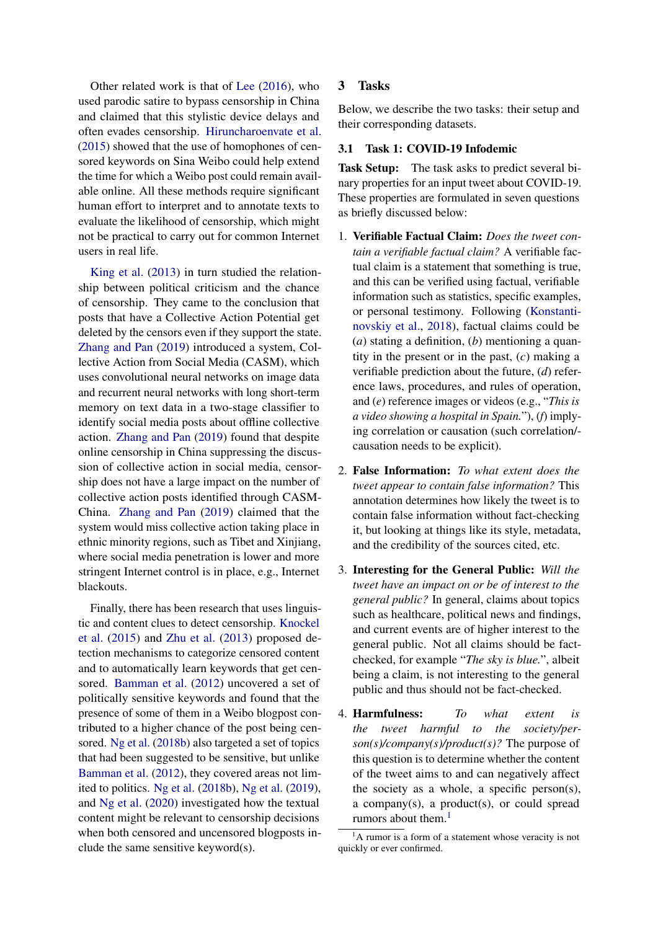Other related work is that of [Lee](#page-9-12) [\(2016\)](#page-9-12), who used parodic satire to bypass censorship in China and claimed that this stylistic device delays and often evades censorship. [Hiruncharoenvate et al.](#page-8-14) [\(2015\)](#page-8-14) showed that the use of homophones of censored keywords on Sina Weibo could help extend the time for which a Weibo post could remain available online. All these methods require significant human effort to interpret and to annotate texts to evaluate the likelihood of censorship, which might not be practical to carry out for common Internet users in real life.

[King et al.](#page-9-13) [\(2013\)](#page-9-13) in turn studied the relationship between political criticism and the chance of censorship. They came to the conclusion that posts that have a Collective Action Potential get deleted by the censors even if they support the state. [Zhang and Pan](#page-10-12) [\(2019\)](#page-10-12) introduced a system, Collective Action from Social Media (CASM), which uses convolutional neural networks on image data and recurrent neural networks with long short-term memory on text data in a two-stage classifier to identify social media posts about offline collective action. [Zhang and Pan](#page-10-12) [\(2019\)](#page-10-12) found that despite online censorship in China suppressing the discussion of collective action in social media, censorship does not have a large impact on the number of collective action posts identified through CASM-China. [Zhang and Pan](#page-10-12) [\(2019\)](#page-10-12) claimed that the system would miss collective action taking place in ethnic minority regions, such as Tibet and Xinjiang, where social media penetration is lower and more stringent Internet control is in place, e.g., Internet blackouts.

Finally, there has been research that uses linguistic and content clues to detect censorship. [Knockel](#page-9-14) [et al.](#page-9-14) [\(2015\)](#page-9-14) and [Zhu et al.](#page-10-0) [\(2013\)](#page-10-0) proposed detection mechanisms to categorize censored content and to automatically learn keywords that get censored. [Bamman et al.](#page-8-15) [\(2012\)](#page-8-15) uncovered a set of politically sensitive keywords and found that the presence of some of them in a Weibo blogpost contributed to a higher chance of the post being censored. [Ng et al.](#page-9-15) [\(2018b\)](#page-9-15) also targeted a set of topics that had been suggested to be sensitive, but unlike [Bamman et al.](#page-8-15) [\(2012\)](#page-8-15), they covered areas not limited to politics. [Ng et al.](#page-9-15) [\(2018b\)](#page-9-15), [Ng et al.](#page-10-13) [\(2019\)](#page-10-13), and [Ng et al.](#page-9-16) [\(2020\)](#page-9-16) investigated how the textual content might be relevant to censorship decisions when both censored and uncensored blogposts include the same sensitive keyword(s).

# 3 Tasks

Below, we describe the two tasks: their setup and their corresponding datasets.

#### 3.1 Task 1: COVID-19 Infodemic

Task Setup: The task asks to predict several binary properties for an input tweet about COVID-19. These properties are formulated in seven questions as briefly discussed below:

- 1. Verifiable Factual Claim: *Does the tweet contain a verifiable factual claim?* A verifiable factual claim is a statement that something is true, and this can be verified using factual, verifiable information such as statistics, specific examples, or personal testimony. Following [\(Konstanti](#page-9-17)[novskiy et al.,](#page-9-17) [2018\)](#page-9-17), factual claims could be (*a*) stating a definition, (*b*) mentioning a quantity in the present or in the past, (*c*) making a verifiable prediction about the future, (*d*) reference laws, procedures, and rules of operation, and (*e*) reference images or videos (e.g., "*This is a video showing a hospital in Spain.*"), (*f*) implying correlation or causation (such correlation/ causation needs to be explicit).
- 2. False Information: *To what extent does the tweet appear to contain false information?* This annotation determines how likely the tweet is to contain false information without fact-checking it, but looking at things like its style, metadata, and the credibility of the sources cited, etc.
- 3. Interesting for the General Public: *Will the tweet have an impact on or be of interest to the general public?* In general, claims about topics such as healthcare, political news and findings, and current events are of higher interest to the general public. Not all claims should be factchecked, for example "*The sky is blue.*", albeit being a claim, is not interesting to the general public and thus should not be fact-checked.
- 4. Harmfulness: *To what extent is the tweet harmful to the society/person(s)/company(s)/product(s)?* The purpose of this question is to determine whether the content of the tweet aims to and can negatively affect the society as a whole, a specific person(s), a company(s), a product(s), or could spread rumors about them.<sup>[1](#page-2-0)</sup>

<span id="page-2-0"></span> ${}^{1}$ A rumor is a form of a statement whose veracity is not quickly or ever confirmed.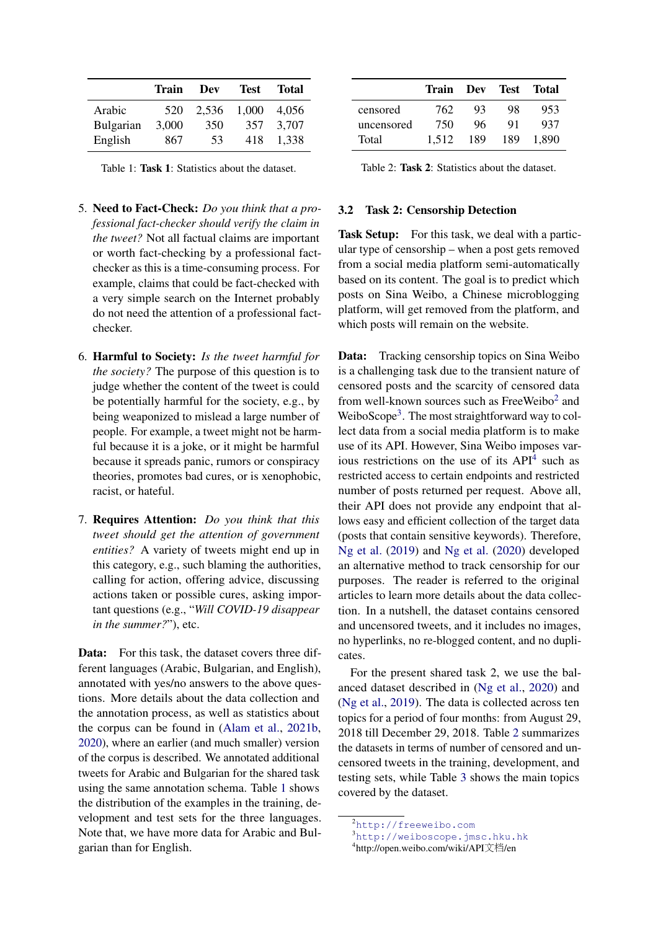<span id="page-3-0"></span>

|           | Train | Dev   | Test. | <b>Total</b> |
|-----------|-------|-------|-------|--------------|
| Arabic    | 520   | 2.536 | 1.000 | 4.056        |
| Bulgarian | 3,000 | 350   | 357   | 3,707        |
| English   | 867   | 53    | 418   | 1.338        |

Table 1: Task 1: Statistics about the dataset.

- 5. Need to Fact-Check: *Do you think that a professional fact-checker should verify the claim in the tweet?* Not all factual claims are important or worth fact-checking by a professional factchecker as this is a time-consuming process. For example, claims that could be fact-checked with a very simple search on the Internet probably do not need the attention of a professional factchecker.
- 6. Harmful to Society: *Is the tweet harmful for the society?* The purpose of this question is to judge whether the content of the tweet is could be potentially harmful for the society, e.g., by being weaponized to mislead a large number of people. For example, a tweet might not be harmful because it is a joke, or it might be harmful because it spreads panic, rumors or conspiracy theories, promotes bad cures, or is xenophobic, racist, or hateful.
- 7. Requires Attention: *Do you think that this tweet should get the attention of government entities?* A variety of tweets might end up in this category, e.g., such blaming the authorities, calling for action, offering advice, discussing actions taken or possible cures, asking important questions (e.g., "*Will COVID-19 disappear in the summer?*"), etc.

Data: For this task, the dataset covers three different languages (Arabic, Bulgarian, and English), annotated with yes/no answers to the above questions. More details about the data collection and the annotation process, as well as statistics about the corpus can be found in [\(Alam et al.,](#page-8-2) [2021b,](#page-8-2) [2020\)](#page-8-1), where an earlier (and much smaller) version of the corpus is described. We annotated additional tweets for Arabic and Bulgarian for the shared task using the same annotation schema. Table [1](#page-3-0) shows the distribution of the examples in the training, development and test sets for the three languages. Note that, we have more data for Arabic and Bulgarian than for English.

<span id="page-3-4"></span>

|            | Train Dev Test |     |     | Total |
|------------|----------------|-----|-----|-------|
| censored   | 762            | 93  | 98  | 953   |
| uncensored | 750            | 96  | 91  | 937   |
| Total      | 1.512          | 189 | 189 | 1.890 |

Table 2: Task 2: Statistics about the dataset.

#### 3.2 Task 2: Censorship Detection

Task Setup: For this task, we deal with a particular type of censorship – when a post gets removed from a social media platform semi-automatically based on its content. The goal is to predict which posts on Sina Weibo, a Chinese microblogging platform, will get removed from the platform, and which posts will remain on the website.

Data: Tracking censorship topics on Sina Weibo is a challenging task due to the transient nature of censored posts and the scarcity of censored data from well-known sources such as FreeWeibo<sup>[2](#page-3-1)</sup> and WeiboScope<sup>[3](#page-3-2)</sup>. The most straightforward way to collect data from a social media platform is to make use of its API. However, Sina Weibo imposes various restrictions on the use of its  $API<sup>4</sup>$  $API<sup>4</sup>$  $API<sup>4</sup>$  such as restricted access to certain endpoints and restricted number of posts returned per request. Above all, their API does not provide any endpoint that allows easy and efficient collection of the target data (posts that contain sensitive keywords). Therefore, [Ng et al.](#page-10-13) [\(2019\)](#page-10-13) and [Ng et al.](#page-9-16) [\(2020\)](#page-9-16) developed an alternative method to track censorship for our purposes. The reader is referred to the original articles to learn more details about the data collection. In a nutshell, the dataset contains censored and uncensored tweets, and it includes no images, no hyperlinks, no re-blogged content, and no duplicates.

For the present shared task 2, we use the balanced dataset described in [\(Ng et al.,](#page-9-16) [2020\)](#page-9-16) and [\(Ng et al.,](#page-10-13) [2019\)](#page-10-13). The data is collected across ten topics for a period of four months: from August 29, 2018 till December 29, 2018. Table [2](#page-3-4) summarizes the datasets in terms of number of censored and uncensored tweets in the training, development, and testing sets, while Table [3](#page-4-0) shows the main topics covered by the dataset.

<span id="page-3-1"></span><sup>2</sup><http://freeweibo.com>

<span id="page-3-2"></span><sup>3</sup><http://weiboscope.jmsc.hku.hk>

<span id="page-3-3"></span><sup>4</sup> http://open.weibo.com/wiki/API文档/en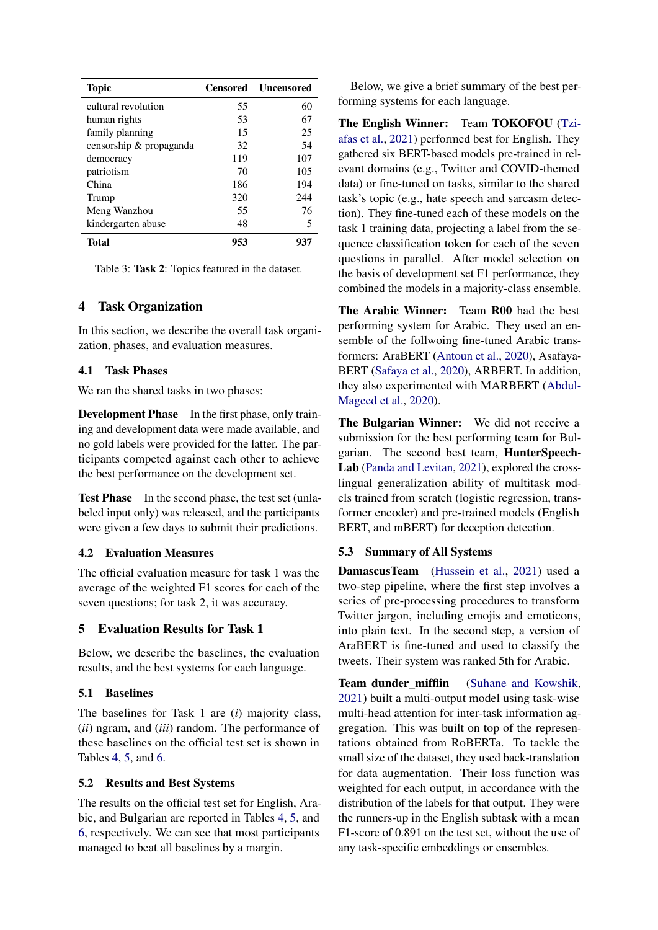<span id="page-4-0"></span>

| <b>Topic</b>            | Censored | <b>Uncensored</b> |
|-------------------------|----------|-------------------|
| cultural revolution     | 55       | 60                |
| human rights            | 53       | 67                |
| family planning         | 15       | 25                |
| censorship & propaganda | 32       | 54                |
| democracy               | 119      | 107               |
| patriotism              | 70       | 105               |
| China                   | 186      | 194               |
| Trump                   | 320      | 244               |
| Meng Wanzhou            | 55       | 76                |
| kindergarten abuse      | 48       | 5                 |
| Total                   | 953      | 937               |

Table 3: Task 2: Topics featured in the dataset.

### 4 Task Organization

In this section, we describe the overall task organization, phases, and evaluation measures.

### 4.1 Task Phases

We ran the shared tasks in two phases:

Development Phase In the first phase, only training and development data were made available, and no gold labels were provided for the latter. The participants competed against each other to achieve the best performance on the development set.

Test Phase In the second phase, the test set (unlabeled input only) was released, and the participants were given a few days to submit their predictions.

### 4.2 Evaluation Measures

The official evaluation measure for task 1 was the average of the weighted F1 scores for each of the seven questions; for task 2, it was accuracy.

### 5 Evaluation Results for Task 1

Below, we describe the baselines, the evaluation results, and the best systems for each language.

### 5.1 Baselines

The baselines for Task 1 are (*i*) majority class, (*ii*) ngram, and (*iii*) random. The performance of these baselines on the official test set is shown in Tables [4,](#page-5-0) [5,](#page-5-1) and [6.](#page-5-2)

### 5.2 Results and Best Systems

The results on the official test set for English, Arabic, and Bulgarian are reported in Tables [4,](#page-5-0) [5,](#page-5-1) and [6,](#page-5-2) respectively. We can see that most participants managed to beat all baselines by a margin.

Below, we give a brief summary of the best performing systems for each language.

The English Winner: Team TOKOFOU [\(Tzi](#page-10-14)[afas et al.,](#page-10-14) [2021\)](#page-10-14) performed best for English. They gathered six BERT-based models pre-trained in relevant domains (e.g., Twitter and COVID-themed data) or fine-tuned on tasks, similar to the shared task's topic (e.g., hate speech and sarcasm detection). They fine-tuned each of these models on the task 1 training data, projecting a label from the sequence classification token for each of the seven questions in parallel. After model selection on the basis of development set F1 performance, they combined the models in a majority-class ensemble.

The Arabic Winner: Team R00 had the best performing system for Arabic. They used an ensemble of the follwoing fine-tuned Arabic transformers: AraBERT [\(Antoun et al.,](#page-8-16) [2020\)](#page-8-16), Asafaya-BERT [\(Safaya et al.,](#page-10-15) [2020\)](#page-10-15), ARBERT. In addition, they also experimented with MARBERT [\(Abdul-](#page-8-17)[Mageed et al.,](#page-8-17) [2020\)](#page-8-17).

The Bulgarian Winner: We did not receive a submission for the best performing team for Bulgarian. The second best team, HunterSpeech-Lab [\(Panda and Levitan,](#page-10-16) [2021\)](#page-10-16), explored the crosslingual generalization ability of multitask models trained from scratch (logistic regression, transformer encoder) and pre-trained models (English BERT, and mBERT) for deception detection.

### 5.3 Summary of All Systems

DamascusTeam [\(Hussein et al.,](#page-8-18) [2021\)](#page-8-18) used a two-step pipeline, where the first step involves a series of pre-processing procedures to transform Twitter jargon, including emojis and emoticons, into plain text. In the second step, a version of AraBERT is fine-tuned and used to classify the tweets. Their system was ranked 5th for Arabic.

Team dunder mifflin [\(Suhane and Kowshik,](#page-10-17) [2021\)](#page-10-17) built a multi-output model using task-wise multi-head attention for inter-task information aggregation. This was built on top of the representations obtained from RoBERTa. To tackle the small size of the dataset, they used back-translation for data augmentation. Their loss function was weighted for each output, in accordance with the distribution of the labels for that output. They were the runners-up in the English subtask with a mean F1-score of 0.891 on the test set, without the use of any task-specific embeddings or ensembles.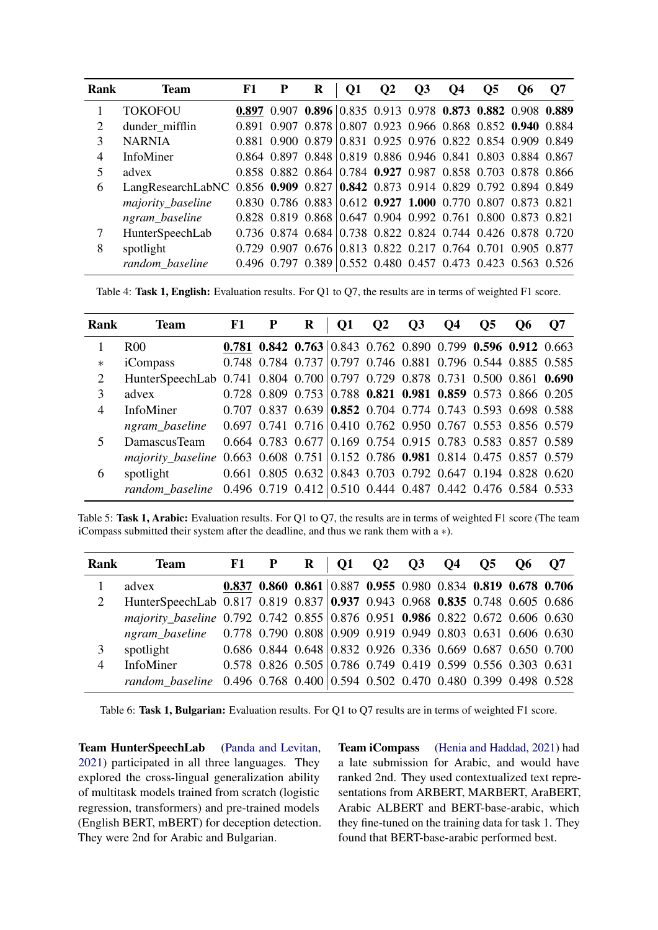<span id="page-5-0"></span>

| Rank                        | <b>Team</b>                                                                   | F1 | P | R                                                           | O1 | $\mathbf{O2}$ | <b>O3</b> | <b>O4</b> | O <sub>5</sub> | O6 | <b>O</b> 7 |
|-----------------------------|-------------------------------------------------------------------------------|----|---|-------------------------------------------------------------|----|---------------|-----------|-----------|----------------|----|------------|
|                             | <b>TOKOFOU</b>                                                                |    |   | 0.897 0.907 0.896 0.835 0.913 0.978 0.873 0.882 0.908 0.889 |    |               |           |           |                |    |            |
| $\mathcal{D}_{\mathcal{L}}$ | dunder_mifflin                                                                |    |   | 0.891 0.907 0.878 0.807 0.923 0.966 0.868 0.852 0.940 0.884 |    |               |           |           |                |    |            |
| 3                           | <b>NARNIA</b>                                                                 |    |   | 0.881 0.900 0.879 0.831 0.925 0.976 0.822 0.854 0.909 0.849 |    |               |           |           |                |    |            |
| 4                           | InfoMiner                                                                     |    |   | 0.864 0.897 0.848 0.819 0.886 0.946 0.841 0.803 0.884 0.867 |    |               |           |           |                |    |            |
| 5                           | advex                                                                         |    |   | 0.858 0.882 0.864 0.784 0.927 0.987 0.858 0.703 0.878 0.866 |    |               |           |           |                |    |            |
| 6                           | LangResearchLabNC 0.856 0.909 0.827 0.842 0.873 0.914 0.829 0.792 0.894 0.849 |    |   |                                                             |    |               |           |           |                |    |            |
|                             | majority_baseline                                                             |    |   | 0.830 0.786 0.883 0.612 0.927 1.000 0.770 0.807 0.873 0.821 |    |               |           |           |                |    |            |
|                             | ngram_baseline                                                                |    |   | 0.828 0.819 0.868 0.647 0.904 0.992 0.761 0.800 0.873 0.821 |    |               |           |           |                |    |            |
| 7                           | HunterSpeechLab                                                               |    |   | 0.736 0.874 0.684 0.738 0.822 0.824 0.744 0.426 0.878 0.720 |    |               |           |           |                |    |            |
| 8                           | spotlight                                                                     |    |   | 0.729 0.907 0.676 0.813 0.822 0.217 0.764 0.701 0.905 0.877 |    |               |           |           |                |    |            |
|                             | random baseline                                                               |    |   | 0.496 0.797 0.389 0.552 0.480 0.457 0.473 0.423 0.563 0.526 |    |               |           |           |                |    |            |

Table 4: Task 1, English: Evaluation results. For Q1 to Q7, the results are in terms of weighted F1 score.

<span id="page-5-1"></span>

| Rank           | <b>Team</b>                                                                   | F1 | $\bf R$                                                                         | <b>Q1</b> | $\mathbf{Q}$ | $\overline{O3}$ | <b>Q4</b> | $\overline{\text{O5}}$ | $\bf{O6}$ | <b>O7</b> |
|----------------|-------------------------------------------------------------------------------|----|---------------------------------------------------------------------------------|-----------|--------------|-----------------|-----------|------------------------|-----------|-----------|
|                | R <sub>00</sub>                                                               |    | 0.781 0.842 0.763 0.843 0.762 0.890 0.799 0.596 0.912 0.663                     |           |              |                 |           |                        |           |           |
| $\ast$         | iCompass                                                                      |    | $0.748$ 0.784 0.737 0.797 0.746 0.881 0.796 0.544 0.885 0.585                   |           |              |                 |           |                        |           |           |
| $\overline{2}$ | HunterSpeechLab 0.741 0.804 0.700 0.797 0.729 0.878 0.731 0.500 0.861 0.690   |    |                                                                                 |           |              |                 |           |                        |           |           |
| 3              | advex                                                                         |    | $0.728$ 0.809 0.753 0.788 0.821 0.981 0.859 0.573 0.866 0.205                   |           |              |                 |           |                        |           |           |
| 4              | InfoMiner                                                                     |    | $0.707$ $0.837$ $0.639$ $0.852$ $0.704$ $0.774$ $0.743$ $0.593$ $0.698$ $0.588$ |           |              |                 |           |                        |           |           |
|                | ngram_baseline                                                                |    | 0.697 0.741 0.716 0.410 0.762 0.950 0.767 0.553 0.856 0.579                     |           |              |                 |           |                        |           |           |
| 5              | DamascusTeam                                                                  |    | 0.664 0.783 0.677 0.169 0.754 0.915 0.783 0.583 0.857 0.589                     |           |              |                 |           |                        |           |           |
|                | majority_baseline 0.663 0.608 0.751 0.152 0.786 0.981 0.814 0.475 0.857 0.579 |    |                                                                                 |           |              |                 |           |                        |           |           |
| 6              | spotlight                                                                     |    | 0.661 0.805 0.632 0.843 0.703 0.792 0.647 0.194 0.828 0.620                     |           |              |                 |           |                        |           |           |
|                | random baseline 0.496 0.719 0.412 0.510 0.444 0.487 0.442 0.476 0.584 0.533   |    |                                                                                 |           |              |                 |           |                        |           |           |

Table 5: Task 1, Arabic: Evaluation results. For Q1 to Q7, the results are in terms of weighted F1 score (The team iCompass submitted their system after the deadline, and thus we rank them with a ∗).

<span id="page-5-2"></span>

| Rank           | <b>Team</b>                                                                   | $F1$ P | $\mathbf R$                                                                     | Q1 Q2 Q3 Q4 Q5 Q6 Q7 |  |  |  |
|----------------|-------------------------------------------------------------------------------|--------|---------------------------------------------------------------------------------|----------------------|--|--|--|
|                | advex                                                                         |        | 0.837 0.860 0.861 0.887 0.955 0.980 0.834 0.819 0.678 0.706                     |                      |  |  |  |
| 2              | HunterSpeechLab 0.817 0.819 0.837 0.937 0.943 0.968 0.835 0.748 0.605 0.686   |        |                                                                                 |                      |  |  |  |
|                | majority_baseline 0.792 0.742 0.855 0.876 0.951 0.986 0.822 0.672 0.606 0.630 |        |                                                                                 |                      |  |  |  |
|                | ngram baseline 0.778 0.790 0.808 0.909 0.919 0.949 0.803 0.631 0.606 0.630    |        |                                                                                 |                      |  |  |  |
| 3              | spotlight                                                                     |        | 0.686 0.844 0.648 0.832 0.926 0.336 0.669 0.687 0.650 0.700                     |                      |  |  |  |
| $\overline{4}$ | InfoMiner                                                                     |        | 0.578 0.826 0.505 0.786 0.749 0.419 0.599 0.556 0.303 0.631                     |                      |  |  |  |
|                | random baseline                                                               |        | $0.496$ $0.768$ $0.400$ $0.594$ $0.502$ $0.470$ $0.480$ $0.399$ $0.498$ $0.528$ |                      |  |  |  |

Table 6: Task 1, Bulgarian: Evaluation results. For Q1 to Q7 results are in terms of weighted F1 score.

Team HunterSpeechLab [\(Panda and Levitan,](#page-10-16) [2021\)](#page-10-16) participated in all three languages. They explored the cross-lingual generalization ability of multitask models trained from scratch (logistic regression, transformers) and pre-trained models (English BERT, mBERT) for deception detection. They were 2nd for Arabic and Bulgarian.

Team iCompass [\(Henia and Haddad,](#page-8-19) [2021\)](#page-8-19) had a late submission for Arabic, and would have ranked 2nd. They used contextualized text representations from ARBERT, MARBERT, AraBERT, Arabic ALBERT and BERT-base-arabic, which they fine-tuned on the training data for task 1. They found that BERT-base-arabic performed best.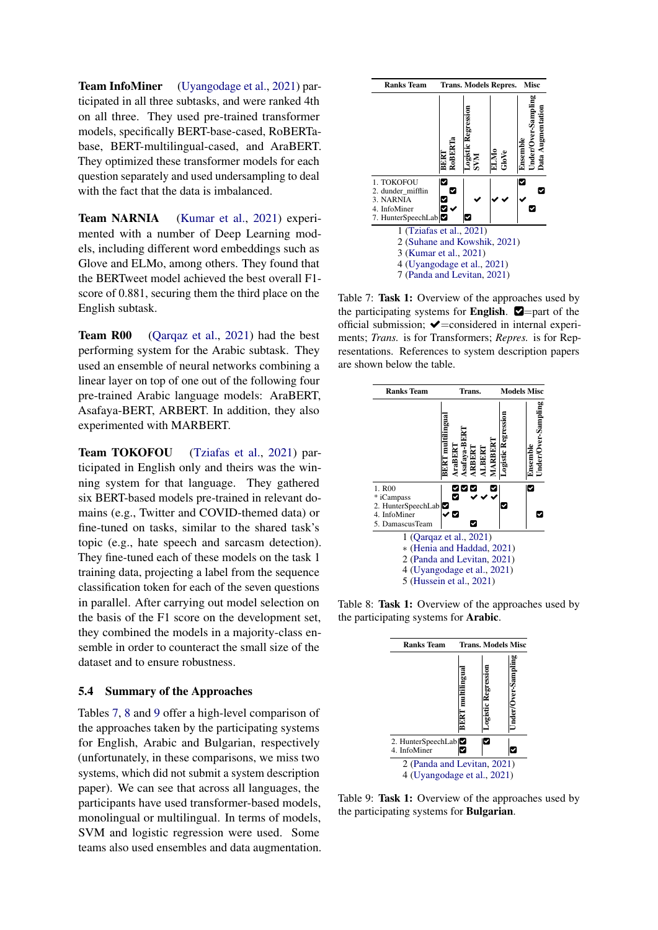Team InfoMiner [\(Uyangodage et al.,](#page-10-18) [2021\)](#page-10-18) participated in all three subtasks, and were ranked 4th on all three. They used pre-trained transformer models, specifically BERT-base-cased, RoBERTabase, BERT-multilingual-cased, and AraBERT. They optimized these transformer models for each question separately and used undersampling to deal with the fact that the data is imbalanced.

Team NARNIA [\(Kumar et al.,](#page-9-18) [2021\)](#page-9-18) experimented with a number of Deep Learning models, including different word embeddings such as Glove and ELMo, among others. They found that the BERTweet model achieved the best overall F1 score of 0.881, securing them the third place on the English subtask.

Team R00 [\(Qarqaz et al.,](#page-10-19) [2021\)](#page-10-19) had the best performing system for the Arabic subtask. They used an ensemble of neural networks combining a linear layer on top of one out of the following four pre-trained Arabic language models: AraBERT, Asafaya-BERT, ARBERT. In addition, they also experimented with MARBERT.

Team TOKOFOU [\(Tziafas et al.,](#page-10-14) [2021\)](#page-10-14) participated in English only and theirs was the winning system for that language. They gathered six BERT-based models pre-trained in relevant domains (e.g., Twitter and COVID-themed data) or fine-tuned on tasks, similar to the shared task's topic (e.g., hate speech and sarcasm detection). They fine-tuned each of these models on the task 1 training data, projecting a label from the sequence classification token for each of the seven questions in parallel. After carrying out model selection on the basis of the F1 score on the development set, they combined the models in a majority-class ensemble in order to counteract the small size of the dataset and to ensure robustness.

### 5.4 Summary of the Approaches

Tables [7,](#page-6-0) [8](#page-6-1) and [9](#page-6-2) offer a high-level comparison of the approaches taken by the participating systems for English, Arabic and Bulgarian, respectively (unfortunately, in these comparisons, we miss two systems, which did not submit a system description paper). We can see that across all languages, the participants have used transformer-based models, monolingual or multilingual. In terms of models, SVM and logistic regression were used. Some teams also used ensembles and data augmentation.

<span id="page-6-0"></span>

Table 7: Task 1: Overview of the approaches used by the participating systems for **English.**  $\blacksquare$ =part of the official submission;  $\blacktriangleright$ =considered in internal experiments; *Trans.* is for Transformers; *Repres.* is for Representations. References to system description papers are shown below the table.

<span id="page-6-1"></span>

<span id="page-6-2"></span>Table 8: Task 1: Overview of the approaches used by the participating systems for Arabic.



Table 9: Task 1: Overview of the approaches used by the participating systems for Bulgarian.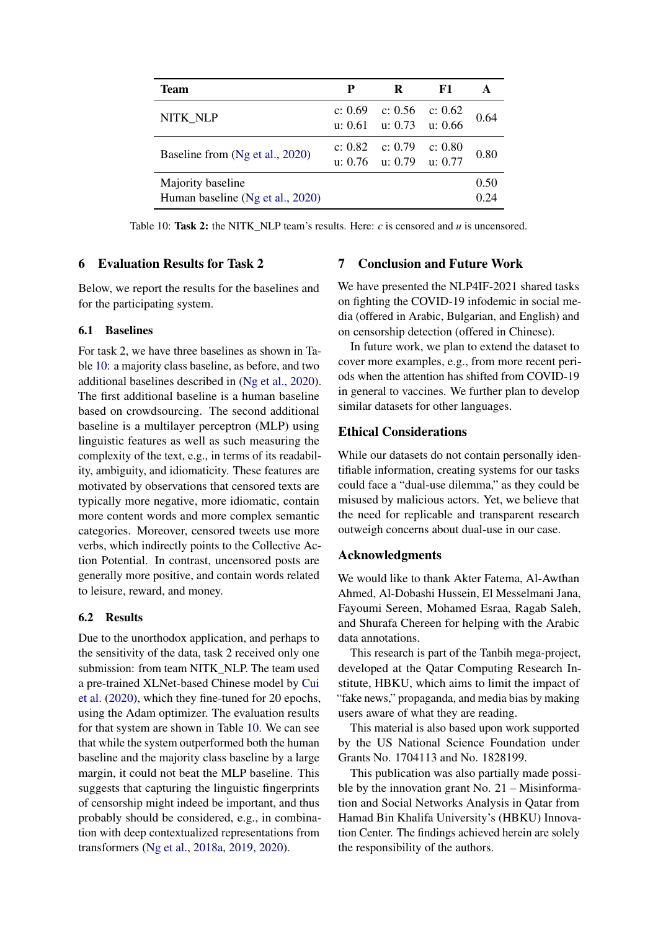<span id="page-7-0"></span>

| Team                                                  | P         | R                                        | F1        |              |
|-------------------------------------------------------|-----------|------------------------------------------|-----------|--------------|
| NITK NLP                                              | c: $0.69$ | c: 0.56<br>u: $0.61$ u: $0.73$ u: $0.66$ | c: $0.62$ | 0.64         |
| Baseline from (Ng et al., 2020)                       | c: 0.82   | c: 0.79<br>u: $0.76$ u: $0.79$ u: $0.77$ | c: 0.80   | 0.80         |
| Majority baseline<br>Human baseline (Ng et al., 2020) |           |                                          |           | 0.50<br>0.24 |

Table 10: Task 2: the NITK\_NLP team's results. Here:  $c$  is censored and  $u$  is uncensored.

### 6 Evaluation Results for Task 2

Below, we report the results for the baselines and for the participating system.

### 6.1 Baselines

For task 2, we have three baselines as shown in Table [10:](#page-7-0) a majority class baseline, as before, and two additional baselines described in [\(Ng et al.,](#page-9-16) [2020\)](#page-9-16). The first additional baseline is a human baseline based on crowdsourcing. The second additional baseline is a multilayer perceptron (MLP) using linguistic features as well as such measuring the complexity of the text, e.g., in terms of its readability, ambiguity, and idiomaticity. These features are motivated by observations that censored texts are typically more negative, more idiomatic, contain more content words and more complex semantic categories. Moreover, censored tweets use more verbs, which indirectly points to the Collective Action Potential. In contrast, uncensored posts are generally more positive, and contain words related to leisure, reward, and money.

# 6.2 Results

Due to the unorthodox application, and perhaps to the sensitivity of the data, task 2 received only one submission: from team NITK\_NLP. The team used a pre-trained XLNet-based Chinese model by [Cui](#page-8-20) [et al.](#page-8-20) [\(2020\)](#page-8-20), which they fine-tuned for 20 epochs, using the Adam optimizer. The evaluation results for that system are shown in Table [10.](#page-7-0) We can see that while the system outperformed both the human baseline and the majority class baseline by a large margin, it could not beat the MLP baseline. This suggests that capturing the linguistic fingerprints of censorship might indeed be important, and thus probably should be considered, e.g., in combination with deep contextualized representations from transformers [\(Ng et al.,](#page-9-19) [2018a,](#page-9-19) [2019,](#page-10-13) [2020\)](#page-9-16).

# 7 Conclusion and Future Work

We have presented the NLP4IF-2021 shared tasks on fighting the COVID-19 infodemic in social media (offered in Arabic, Bulgarian, and English) and on censorship detection (offered in Chinese).

In future work, we plan to extend the dataset to cover more examples, e.g., from more recent periods when the attention has shifted from COVID-19 in general to vaccines. We further plan to develop similar datasets for other languages.

# Ethical Considerations

While our datasets do not contain personally identifiable information, creating systems for our tasks could face a "dual-use dilemma," as they could be misused by malicious actors. Yet, we believe that the need for replicable and transparent research outweigh concerns about dual-use in our case.

### Acknowledgments

We would like to thank Akter Fatema, Al-Awthan Ahmed, Al-Dobashi Hussein, El Messelmani Jana, Fayoumi Sereen, Mohamed Esraa, Ragab Saleh, and Shurafa Chereen for helping with the Arabic data annotations.

This research is part of the Tanbih mega-project, developed at the Qatar Computing Research Institute, HBKU, which aims to limit the impact of "fake news," propaganda, and media bias by making users aware of what they are reading.

This material is also based upon work supported by the US National Science Foundation under Grants No. 1704113 and No. 1828199.

This publication was also partially made possible by the innovation grant No.  $21 -$ Misinformation and Social Networks Analysis in Qatar from Hamad Bin Khalifa University's (HBKU) Innovation Center. The findings achieved herein are solely the responsibility of the authors.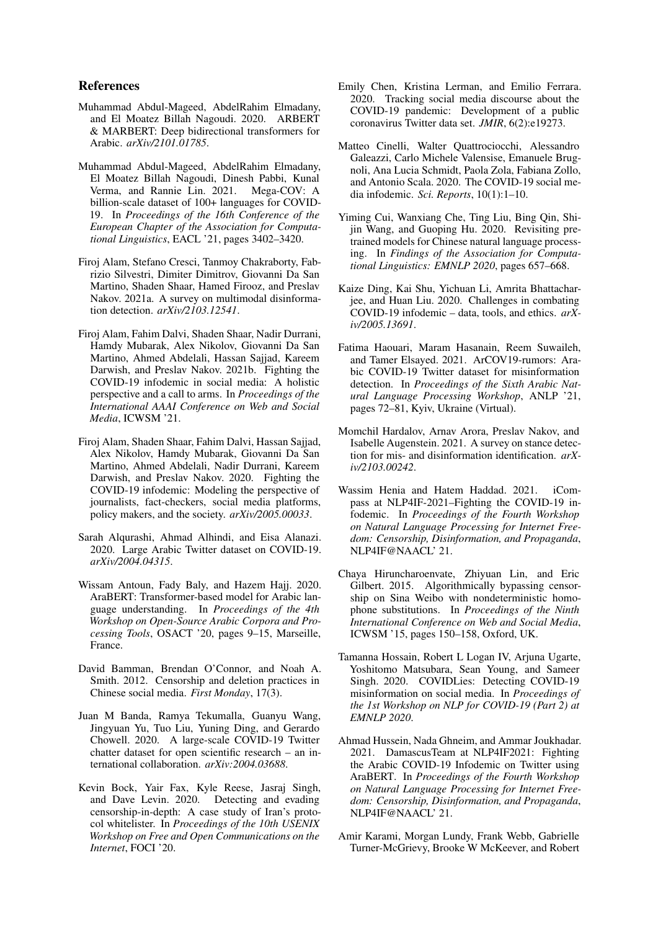### References

- <span id="page-8-17"></span>Muhammad Abdul-Mageed, AbdelRahim Elmadany, and El Moatez Billah Nagoudi. 2020. ARBERT & MARBERT: Deep bidirectional transformers for Arabic. *arXiv/2101.01785*.
- <span id="page-8-8"></span>Muhammad Abdul-Mageed, AbdelRahim Elmadany, El Moatez Billah Nagoudi, Dinesh Pabbi, Kunal Verma, and Rannie Lin. 2021. Mega-COV: A billion-scale dataset of 100+ languages for COVID-19. In *Proceedings of the 16th Conference of the European Chapter of the Association for Computational Linguistics*, EACL '21, pages 3402–3420.
- <span id="page-8-4"></span>Firoj Alam, Stefano Cresci, Tanmoy Chakraborty, Fabrizio Silvestri, Dimiter Dimitrov, Giovanni Da San Martino, Shaden Shaar, Hamed Firooz, and Preslav Nakov. 2021a. A survey on multimodal disinformation detection. *arXiv/2103.12541*.
- <span id="page-8-2"></span>Firoj Alam, Fahim Dalvi, Shaden Shaar, Nadir Durrani, Hamdy Mubarak, Alex Nikolov, Giovanni Da San Martino, Ahmed Abdelali, Hassan Sajjad, Kareem Darwish, and Preslav Nakov. 2021b. Fighting the COVID-19 infodemic in social media: A holistic perspective and a call to arms. In *Proceedings of the International AAAI Conference on Web and Social Media*, ICWSM '21.
- <span id="page-8-1"></span>Firoj Alam, Shaden Shaar, Fahim Dalvi, Hassan Sajjad, Alex Nikolov, Hamdy Mubarak, Giovanni Da San Martino, Ahmed Abdelali, Nadir Durrani, Kareem Darwish, and Preslav Nakov. 2020. Fighting the COVID-19 infodemic: Modeling the perspective of journalists, fact-checkers, social media platforms, policy makers, and the society. *arXiv/2005.00033*.
- <span id="page-8-10"></span>Sarah Alqurashi, Ahmad Alhindi, and Eisa Alanazi. 2020. Large Arabic Twitter dataset on COVID-19. *arXiv/2004.04315*.
- <span id="page-8-16"></span>Wissam Antoun, Fady Baly, and Hazem Hajj. 2020. AraBERT: Transformer-based model for Arabic language understanding. In *Proceedings of the 4th Workshop on Open-Source Arabic Corpora and Processing Tools*, OSACT '20, pages 9–15, Marseille, France.
- <span id="page-8-15"></span>David Bamman, Brendan O'Connor, and Noah A. Smith. 2012. Censorship and deletion practices in Chinese social media. *First Monday*, 17(3).
- <span id="page-8-7"></span>Juan M Banda, Ramya Tekumalla, Guanyu Wang, Jingyuan Yu, Tuo Liu, Yuning Ding, and Gerardo Chowell. 2020. A large-scale COVID-19 Twitter chatter dataset for open scientific research – an international collaboration. *arXiv:2004.03688*.
- <span id="page-8-13"></span>Kevin Bock, Yair Fax, Kyle Reese, Jasraj Singh, and Dave Levin. 2020. Detecting and evading censorship-in-depth: A case study of Iran's protocol whitelister. In *Proceedings of the 10th USENIX Workshop on Free and Open Communications on the Internet*, FOCI '20.
- <span id="page-8-6"></span>Emily Chen, Kristina Lerman, and Emilio Ferrara. 2020. Tracking social media discourse about the COVID-19 pandemic: Development of a public coronavirus Twitter data set. *JMIR*, 6(2):e19273.
- <span id="page-8-5"></span>Matteo Cinelli, Walter Quattrociocchi, Alessandro Galeazzi, Carlo Michele Valensise, Emanuele Brugnoli, Ana Lucia Schmidt, Paola Zola, Fabiana Zollo, and Antonio Scala. 2020. The COVID-19 social media infodemic. *Sci. Reports*, 10(1):1–10.
- <span id="page-8-20"></span>Yiming Cui, Wanxiang Che, Ting Liu, Bing Qin, Shijin Wang, and Guoping Hu. 2020. Revisiting pretrained models for Chinese natural language processing. In *Findings of the Association for Computational Linguistics: EMNLP 2020*, pages 657–668.
- <span id="page-8-11"></span>Kaize Ding, Kai Shu, Yichuan Li, Amrita Bhattacharjee, and Huan Liu. 2020. Challenges in combating COVID-19 infodemic – data, tools, and ethics. *arXiv/2005.13691*.
- <span id="page-8-9"></span>Fatima Haouari, Maram Hasanain, Reem Suwaileh, and Tamer Elsayed. 2021. ArCOV19-rumors: Arabic COVID-19 Twitter dataset for misinformation detection. In *Proceedings of the Sixth Arabic Natural Language Processing Workshop*, ANLP '21, pages 72–81, Kyiv, Ukraine (Virtual).
- <span id="page-8-3"></span>Momchil Hardalov, Arnav Arora, Preslav Nakov, and Isabelle Augenstein. 2021. A survey on stance detection for mis- and disinformation identification. *arXiv/2103.00242*.
- <span id="page-8-19"></span>Wassim Henia and Hatem Haddad. 2021. iCompass at NLP4IF-2021–Fighting the COVID-19 infodemic. In *Proceedings of the Fourth Workshop on Natural Language Processing for Internet Freedom: Censorship, Disinformation, and Propaganda*, NLP4IF@NAACL' 21.
- <span id="page-8-14"></span>Chaya Hiruncharoenvate, Zhiyuan Lin, and Eric Gilbert. 2015. Algorithmically bypassing censorship on Sina Weibo with nondeterministic homophone substitutions. In *Proceedings of the Ninth International Conference on Web and Social Media*, ICWSM '15, pages 150–158, Oxford, UK.
- <span id="page-8-12"></span>Tamanna Hossain, Robert L Logan IV, Arjuna Ugarte, Yoshitomo Matsubara, Sean Young, and Sameer Singh. 2020. COVIDLies: Detecting COVID-19 misinformation on social media. In *Proceedings of the 1st Workshop on NLP for COVID-19 (Part 2) at EMNLP 2020*.
- <span id="page-8-18"></span>Ahmad Hussein, Nada Ghneim, and Ammar Joukhadar. 2021. DamascusTeam at NLP4IF2021: Fighting the Arabic COVID-19 Infodemic on Twitter using AraBERT. In *Proceedings of the Fourth Workshop on Natural Language Processing for Internet Freedom: Censorship, Disinformation, and Propaganda*, NLP4IF@NAACL' 21.
- <span id="page-8-0"></span>Amir Karami, Morgan Lundy, Frank Webb, Gabrielle Turner-McGrievy, Brooke W McKeever, and Robert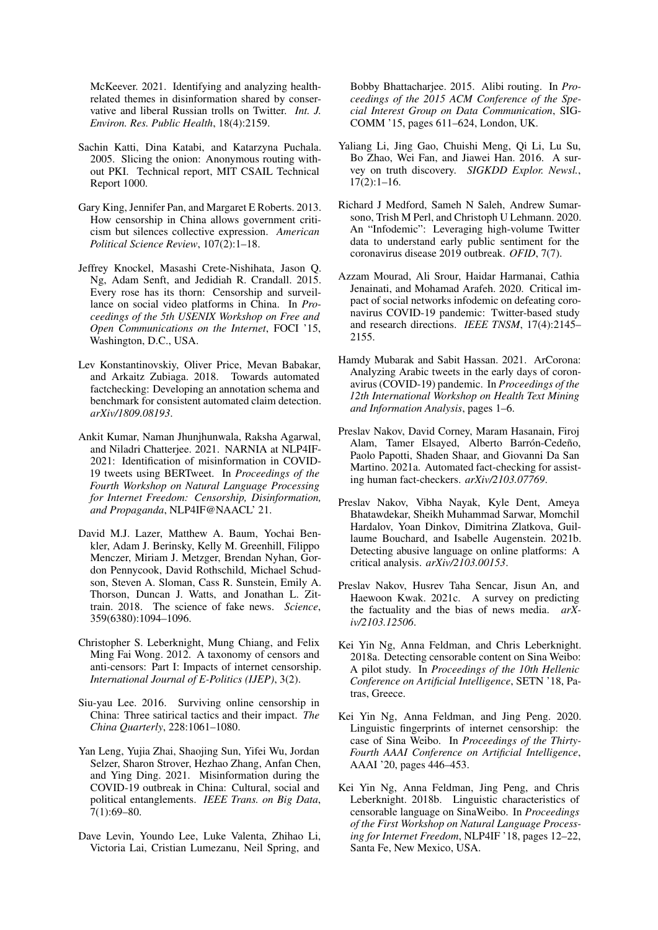McKeever. 2021. Identifying and analyzing healthrelated themes in disinformation shared by conservative and liberal Russian trolls on Twitter. *Int. J. Environ. Res. Public Health*, 18(4):2159.

- <span id="page-9-10"></span>Sachin Katti, Dina Katabi, and Katarzyna Puchala. 2005. Slicing the onion: Anonymous routing without PKI. Technical report, MIT CSAIL Technical Report 1000.
- <span id="page-9-13"></span>Gary King, Jennifer Pan, and Margaret E Roberts. 2013. How censorship in China allows government criticism but silences collective expression. *American Political Science Review*, 107(2):1–18.
- <span id="page-9-14"></span>Jeffrey Knockel, Masashi Crete-Nishihata, Jason Q. Ng, Adam Senft, and Jedidiah R. Crandall. 2015. Every rose has its thorn: Censorship and surveillance on social video platforms in China. In *Proceedings of the 5th USENIX Workshop on Free and Open Communications on the Internet*, FOCI '15, Washington, D.C., USA.
- <span id="page-9-17"></span>Lev Konstantinovskiy, Oliver Price, Mevan Babakar, and Arkaitz Zubiaga. 2018. Towards automated factchecking: Developing an annotation schema and benchmark for consistent automated claim detection. *arXiv/1809.08193*.
- <span id="page-9-18"></span>Ankit Kumar, Naman Jhunjhunwala, Raksha Agarwal, and Niladri Chatterjee. 2021. NARNIA at NLP4IF-2021: Identification of misinformation in COVID-19 tweets using BERTweet. In *Proceedings of the Fourth Workshop on Natural Language Processing for Internet Freedom: Censorship, Disinformation, and Propaganda*, NLP4IF@NAACL' 21.
- <span id="page-9-3"></span>David M.J. Lazer, Matthew A. Baum, Yochai Benkler, Adam J. Berinsky, Kelly M. Greenhill, Filippo Menczer, Miriam J. Metzger, Brendan Nyhan, Gordon Pennycook, David Rothschild, Michael Schudson, Steven A. Sloman, Cass R. Sunstein, Emily A. Thorson, Duncan J. Watts, and Jonathan L. Zittrain. 2018. The science of fake news. *Science*, 359(6380):1094–1096.
- <span id="page-9-9"></span>Christopher S. Leberknight, Mung Chiang, and Felix Ming Fai Wong. 2012. A taxonomy of censors and anti-censors: Part I: Impacts of internet censorship. *International Journal of E-Politics (IJEP)*, 3(2).
- <span id="page-9-12"></span>Siu-yau Lee. 2016. Surviving online censorship in China: Three satirical tactics and their impact. *The China Quarterly*, 228:1061–1080.
- <span id="page-9-0"></span>Yan Leng, Yujia Zhai, Shaojing Sun, Yifei Wu, Jordan Selzer, Sharon Strover, Hezhao Zhang, Anfan Chen, and Ying Ding. 2021. Misinformation during the COVID-19 outbreak in China: Cultural, social and political entanglements. *IEEE Trans. on Big Data*, 7(1):69–80.
- <span id="page-9-11"></span>Dave Levin, Youndo Lee, Luke Valenta, Zhihao Li, Victoria Lai, Cristian Lumezanu, Neil Spring, and

Bobby Bhattacharjee. 2015. Alibi routing. In *Proceedings of the 2015 ACM Conference of the Special Interest Group on Data Communication*, SIG-COMM '15, pages 611–624, London, UK.

- <span id="page-9-4"></span>Yaliang Li, Jing Gao, Chuishi Meng, Qi Li, Lu Su, Bo Zhao, Wei Fan, and Jiawei Han. 2016. A survey on truth discovery. *SIGKDD Explor. Newsl.*, 17(2):1–16.
- <span id="page-9-1"></span>Richard J Medford, Sameh N Saleh, Andrew Sumarsono, Trish M Perl, and Christoph U Lehmann. 2020. An "Infodemic": Leveraging high-volume Twitter data to understand early public sentiment for the coronavirus disease 2019 outbreak. *OFID*, 7(7).
- <span id="page-9-2"></span>Azzam Mourad, Ali Srour, Haidar Harmanai, Cathia Jenainati, and Mohamad Arafeh. 2020. Critical impact of social networks infodemic on defeating coronavirus COVID-19 pandemic: Twitter-based study and research directions. *IEEE TNSM*, 17(4):2145– 2155.
- <span id="page-9-8"></span>Hamdy Mubarak and Sabit Hassan. 2021. ArCorona: Analyzing Arabic tweets in the early days of coronavirus (COVID-19) pandemic. In *Proceedings of the 12th International Workshop on Health Text Mining and Information Analysis*, pages 1–6.
- <span id="page-9-5"></span>Preslav Nakov, David Corney, Maram Hasanain, Firoj Alam, Tamer Elsayed, Alberto Barrón-Cedeño, Paolo Papotti, Shaden Shaar, and Giovanni Da San Martino. 2021a. Automated fact-checking for assisting human fact-checkers. *arXiv/2103.07769*.
- <span id="page-9-7"></span>Preslav Nakov, Vibha Nayak, Kyle Dent, Ameya Bhatawdekar, Sheikh Muhammad Sarwar, Momchil Hardalov, Yoan Dinkov, Dimitrina Zlatkova, Guillaume Bouchard, and Isabelle Augenstein. 2021b. Detecting abusive language on online platforms: A critical analysis. *arXiv/2103.00153*.
- <span id="page-9-6"></span>Preslav Nakov, Husrev Taha Sencar, Jisun An, and Haewoon Kwak. 2021c. A survey on predicting the factuality and the bias of news media. *arXiv/2103.12506*.
- <span id="page-9-19"></span>Kei Yin Ng, Anna Feldman, and Chris Leberknight. 2018a. Detecting censorable content on Sina Weibo: A pilot study. In *Proceedings of the 10th Hellenic Conference on Artificial Intelligence*, SETN '18, Patras, Greece.
- <span id="page-9-16"></span>Kei Yin Ng, Anna Feldman, and Jing Peng. 2020. Linguistic fingerprints of internet censorship: the case of Sina Weibo. In *Proceedings of the Thirty-Fourth AAAI Conference on Artificial Intelligence*, AAAI '20, pages 446–453.
- <span id="page-9-15"></span>Kei Yin Ng, Anna Feldman, Jing Peng, and Chris Leberknight. 2018b. Linguistic characteristics of censorable language on SinaWeibo. In *Proceedings of the First Workshop on Natural Language Processing for Internet Freedom*, NLP4IF '18, pages 12–22, Santa Fe, New Mexico, USA.